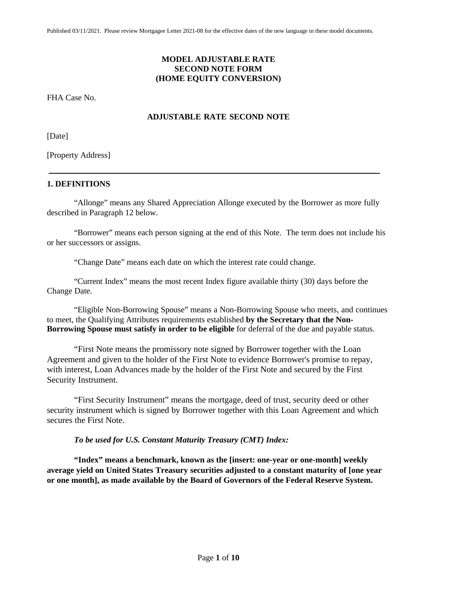# **MODEL ADJUSTABLE RATE SECOND NOTE FORM (HOME EQUITY CONVERSION)**

FHA Case No.

# **ADJUSTABLE RATE SECOND NOTE**

[Date]

[Property Address]

## **1. DEFINITIONS**

"Allonge" means any Shared Appreciation Allonge executed by the Borrower as more fully described in Paragraph 12 below.

"Borrower" means each person signing at the end of this Note. The term does not include his or her successors or assigns.

"Change Date" means each date on which the interest rate could change.

"Current Index" means the most recent Index figure available thirty (30) days before the Change Date.

"Eligible Non-Borrowing Spouse" means a Non-Borrowing Spouse who meets, and continues to meet, the Qualifying Attributes requirements established **by the Secretary that the Non-Borrowing Spouse must satisfy in order to be eligible** for deferral of the due and payable status.

"First Note means the promissory note signed by Borrower together with the Loan Agreement and given to the holder of the First Note to evidence Borrower's promise to repay, with interest, Loan Advances made by the holder of the First Note and secured by the First Security Instrument.

"First Security Instrument" means the mortgage, deed of trust, security deed or other security instrument which is signed by Borrower together with this Loan Agreement and which secures the First Note.

## *To be used for U.S. Constant Maturity Treasury (CMT) Index:*

**"Index" means a benchmark, known as the [insert: one-year or one-month] weekly average yield on United States Treasury securities adjusted to a constant maturity of [one year or one month], as made available by the Board of Governors of the Federal Reserve System.**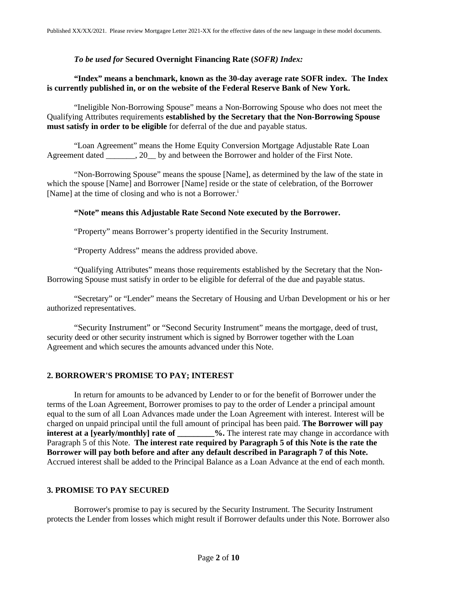### *To be used for* **Secured Overnight Financing Rate (***SOFR) Index:*

## **"Index" means a benchmark, known as the 30-day average rate SOFR index. The Index is currently published in, or on the website of the Federal Reserve Bank of New York.**

"Ineligible Non-Borrowing Spouse" means a Non-Borrowing Spouse who does not meet the Qualifying Attributes requirements **established by the Secretary that the Non-Borrowing Spouse must satisfy in order to be eligible** for deferral of the due and payable status.

"Loan Agreement" means the Home Equity Conversion Mortgage Adjustable Rate Loan Agreement dated \_\_\_\_\_\_\_, 20 \_\_ by and between the Borrower and holder of the First Note.

"Non-Borrowing Spouse" means the spouse [Name], as determined by the law of the state in which the spouse [Name] and Borrower [Name] reside or the state of celebration, of the Borrower [Name] at the time of closing and who is not a Borrower.<sup>i</sup>

### **"Note" means this Adjustable Rate Second Note executed by the Borrower.**

"Property" means Borrower's property identified in the Security Instrument.

"Property Address" means the address provided above.

"Qualifying Attributes" means those requirements established by the Secretary that the Non-Borrowing Spouse must satisfy in order to be eligible for deferral of the due and payable status.

"Secretary" or "Lender" means the Secretary of Housing and Urban Development or his or her authorized representatives.

"Security Instrument" or "Second Security Instrument" means the mortgage, deed of trust, security deed or other security instrument which is signed by Borrower together with the Loan Agreement and which secures the amounts advanced under this Note.

### **2. BORROWER'S PROMISE TO PAY; INTEREST**

In return for amounts to be advanced by Lender to or for the benefit of Borrower under the terms of the Loan Agreement, Borrower promises to pay to the order of Lender a principal amount equal to the sum of all Loan Advances made under the Loan Agreement with interest. Interest will be charged on unpaid principal until the full amount of principal has been paid. **The Borrower will pay interest at a [yearly/monthly] rate of**  $\%$ . The interest rate may change in accordance with Paragraph 5 of this Note. **The interest rate required by Paragraph 5 of this Note is the rate the Borrower will pay both before and after any default described in Paragraph 7 of this Note.**  Accrued interest shall be added to the Principal Balance as a Loan Advance at the end of each month.

### **3. PROMISE TO PAY SECURED**

Borrower's promise to pay is secured by the Security Instrument. The Security Instrument protects the Lender from losses which might result if Borrower defaults under this Note. Borrower also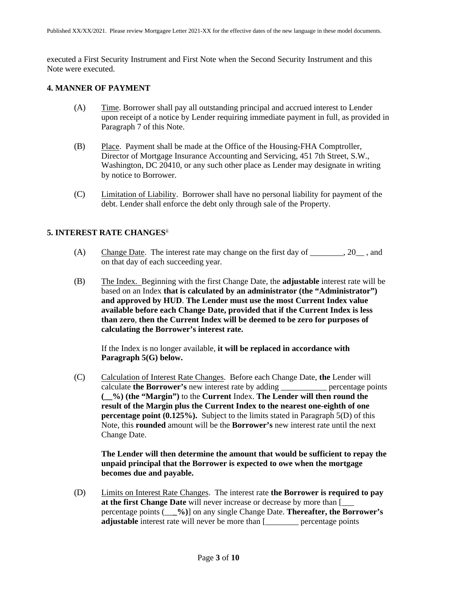executed a First Security Instrument and First Note when the Second Security Instrument and this Note were executed.

## **4. MANNER OF PAYMENT**

- (A) Time. Borrower shall pay all outstanding principal and accrued interest to Lender upon receipt of a notice by Lender requiring immediate payment in full, as provided in Paragraph 7 of this Note.
- (B) Place. Payment shall be made at the Office of the Housing-FHA Comptroller, Director of Mortgage Insurance Accounting and Servicing, 451 7th Street, S.W., Washington, DC 20410, or any such other place as Lender may designate in writing by notice to Borrower.
- (C) Limitation of Liability. Borrower shall have no personal liability for payment of the debt. Lender shall enforce the debt only through sale of the Property.

# **5. INTEREST RATE CHANGES**ii

- (A) Change Date. The interest rate may change on the first day of \_\_\_\_\_\_\_, 20\_\_, and on that day of each succeeding year.
- (B) The Index. Beginning with the first Change Date, the **adjustable** interest rate will be based on an Index **that is calculated by an administrator (the "Administrator") and approved by HUD**. **The Lender must use the most Current Index value available before each Change Date, provided that if the Current Index is less than zero**, **then the Current Index will be deemed to be zero for purposes of calculating the Borrower's interest rate.**

If the Index is no longer available, **it will be replaced in accordance with Paragraph 5(G) below.**

(C) Calculation of Interest Rate Changes. Before each Change Date, **the** Lender will calculate **the Borrower's** new interest rate by adding \_\_\_\_\_\_\_\_\_\_\_ percentage points **(\_\_%) (the "Margin")** to the **Current** Index. **The Lender will then round the result of the Margin plus the Current Index to the nearest one-eighth of one percentage point (0.125%).** Subject to the limits stated in Paragraph 5(D) of this Note, this **rounded** amount will be the **Borrower's** new interest rate until the next Change Date.

**The Lender will then determine the amount that would be sufficient to repay the unpaid principal that the Borrower is expected to owe when the mortgage becomes due and payable.**

(D) Limits on Interest Rate Changes. The interest rate **the Borrower is required to pay at the first Change Date** will never increase or decrease by more than [\_\_\_ percentage points (\_\_**\_%)**] on any single Change Date. **Thereafter, the Borrower's adjustable** interest rate will never be more than [\_\_\_\_\_\_\_\_ percentage points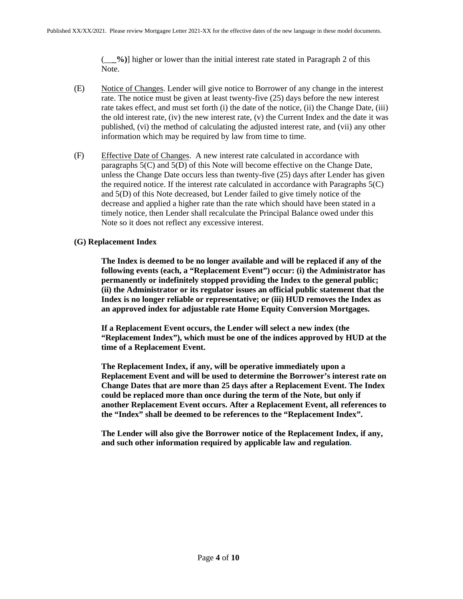(\_\_**\_%)**] higher or lower than the initial interest rate stated in Paragraph 2 of this Note.

- (E) Notice of Changes. Lender will give notice to Borrower of any change in the interest rate. The notice must be given at least twenty-five (25) days before the new interest rate takes effect, and must set forth (i) the date of the notice, (ii) the Change Date, (iii) the old interest rate, (iv) the new interest rate, (v) the Current Index and the date it was published, (vi) the method of calculating the adjusted interest rate, and (vii) any other information which may be required by law from time to time.
- (F) Effective Date of Changes. A new interest rate calculated in accordance with paragraphs 5(C) and 5(D) of this Note will become effective on the Change Date, unless the Change Date occurs less than twenty-five (25) days after Lender has given the required notice. If the interest rate calculated in accordance with Paragraphs  $5(C)$ and 5(D) of this Note decreased, but Lender failed to give timely notice of the decrease and applied a higher rate than the rate which should have been stated in a timely notice, then Lender shall recalculate the Principal Balance owed under this Note so it does not reflect any excessive interest.

### **(G) Replacement Index**

**The Index is deemed to be no longer available and will be replaced if any of the following events (each, a "Replacement Event") occur: (i) the Administrator has permanently or indefinitely stopped providing the Index to the general public; (ii) the Administrator or its regulator issues an official public statement that the Index is no longer reliable or representative; or (iii) HUD removes the Index as an approved index for adjustable rate Home Equity Conversion Mortgages.**

**If a Replacement Event occurs, the Lender will select a new index (the "Replacement Index"), which must be one of the indices approved by HUD at the time of a Replacement Event.**

**The Replacement Index, if any, will be operative immediately upon a Replacement Event and will be used to determine the Borrower's interest rate on Change Dates that are more than 25 days after a Replacement Event. The Index could be replaced more than once during the term of the Note, but only if another Replacement Event occurs. After a Replacement Event, all references to the "Index" shall be deemed to be references to the "Replacement Index".**

**The Lender will also give the Borrower notice of the Replacement Index, if any, and such other information required by applicable law and regulation.**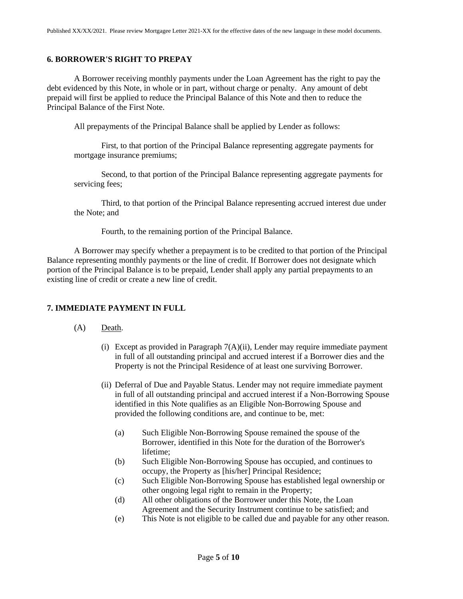### **6. BORROWER'S RIGHT TO PREPAY**

A Borrower receiving monthly payments under the Loan Agreement has the right to pay the debt evidenced by this Note, in whole or in part, without charge or penalty. Any amount of debt prepaid will first be applied to reduce the Principal Balance of this Note and then to reduce the Principal Balance of the First Note.

All prepayments of the Principal Balance shall be applied by Lender as follows:

First, to that portion of the Principal Balance representing aggregate payments for mortgage insurance premiums;

Second, to that portion of the Principal Balance representing aggregate payments for servicing fees;

Third, to that portion of the Principal Balance representing accrued interest due under the Note; and

Fourth, to the remaining portion of the Principal Balance.

A Borrower may specify whether a prepayment is to be credited to that portion of the Principal Balance representing monthly payments or the line of credit. If Borrower does not designate which portion of the Principal Balance is to be prepaid, Lender shall apply any partial prepayments to an existing line of credit or create a new line of credit.

## **7. IMMEDIATE PAYMENT IN FULL**

### (A) Death.

- (i) Except as provided in Paragraph 7(A)(ii), Lender may require immediate payment in full of all outstanding principal and accrued interest if a Borrower dies and the Property is not the Principal Residence of at least one surviving Borrower.
- (ii) Deferral of Due and Payable Status. Lender may not require immediate payment in full of all outstanding principal and accrued interest if a Non-Borrowing Spouse identified in this Note qualifies as an Eligible Non-Borrowing Spouse and provided the following conditions are, and continue to be, met:
	- (a) Such Eligible Non-Borrowing Spouse remained the spouse of the Borrower, identified in this Note for the duration of the Borrower's lifetime;
	- (b) Such Eligible Non-Borrowing Spouse has occupied, and continues to occupy, the Property as [his/her] Principal Residence;
	- (c) Such Eligible Non-Borrowing Spouse has established legal ownership or other ongoing legal right to remain in the Property;
	- (d) All other obligations of the Borrower under this Note, the Loan Agreement and the Security Instrument continue to be satisfied; and
	- (e) This Note is not eligible to be called due and payable for any other reason.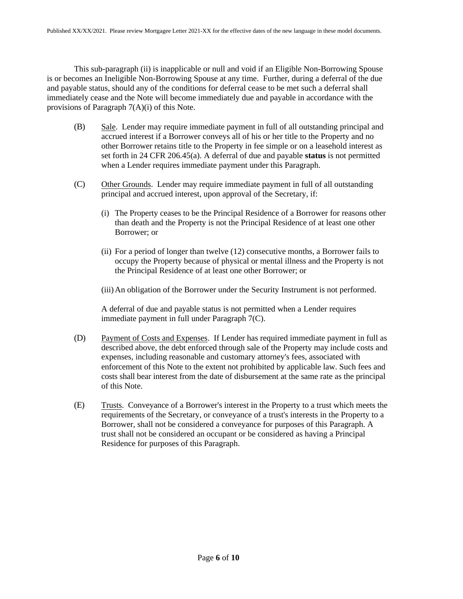This sub-paragraph (ii) is inapplicable or null and void if an Eligible Non-Borrowing Spouse is or becomes an Ineligible Non-Borrowing Spouse at any time. Further, during a deferral of the due and payable status, should any of the conditions for deferral cease to be met such a deferral shall immediately cease and the Note will become immediately due and payable in accordance with the provisions of Paragraph 7(A)(i) of this Note.

- (B) Sale. Lender may require immediate payment in full of all outstanding principal and accrued interest if a Borrower conveys all of his or her title to the Property and no other Borrower retains title to the Property in fee simple or on a leasehold interest as set forth in 24 CFR 206.45(a). A deferral of due and payable **status** is not permitted when a Lender requires immediate payment under this Paragraph.
- (C) Other Grounds. Lender may require immediate payment in full of all outstanding principal and accrued interest, upon approval of the Secretary, if:
	- (i) The Property ceases to be the Principal Residence of a Borrower for reasons other than death and the Property is not the Principal Residence of at least one other Borrower; or
	- (ii) For a period of longer than twelve (12) consecutive months, a Borrower fails to occupy the Property because of physical or mental illness and the Property is not the Principal Residence of at least one other Borrower; or
	- (iii)An obligation of the Borrower under the Security Instrument is not performed.

A deferral of due and payable status is not permitted when a Lender requires immediate payment in full under Paragraph 7(C).

- (D) Payment of Costs and Expenses. If Lender has required immediate payment in full as described above, the debt enforced through sale of the Property may include costs and expenses, including reasonable and customary attorney's fees, associated with enforcement of this Note to the extent not prohibited by applicable law. Such fees and costs shall bear interest from the date of disbursement at the same rate as the principal of this Note.
- (E) Trusts. Conveyance of a Borrower's interest in the Property to a trust which meets the requirements of the Secretary, or conveyance of a trust's interests in the Property to a Borrower, shall not be considered a conveyance for purposes of this Paragraph. A trust shall not be considered an occupant or be considered as having a Principal Residence for purposes of this Paragraph.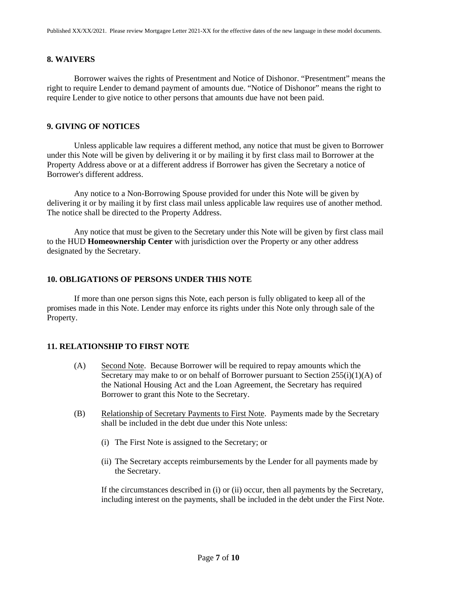### **8. WAIVERS**

Borrower waives the rights of Presentment and Notice of Dishonor. "Presentment" means the right to require Lender to demand payment of amounts due. "Notice of Dishonor" means the right to require Lender to give notice to other persons that amounts due have not been paid.

### **9. GIVING OF NOTICES**

Unless applicable law requires a different method, any notice that must be given to Borrower under this Note will be given by delivering it or by mailing it by first class mail to Borrower at the Property Address above or at a different address if Borrower has given the Secretary a notice of Borrower's different address.

Any notice to a Non-Borrowing Spouse provided for under this Note will be given by delivering it or by mailing it by first class mail unless applicable law requires use of another method. The notice shall be directed to the Property Address.

Any notice that must be given to the Secretary under this Note will be given by first class mail to the HUD **Homeownership Center** with jurisdiction over the Property or any other address designated by the Secretary.

#### **10. OBLIGATIONS OF PERSONS UNDER THIS NOTE**

If more than one person signs this Note, each person is fully obligated to keep all of the promises made in this Note. Lender may enforce its rights under this Note only through sale of the Property.

### **11. RELATIONSHIP TO FIRST NOTE**

- (A) Second Note. Because Borrower will be required to repay amounts which the Secretary may make to or on behalf of Borrower pursuant to Section  $255(i)(1)(A)$  of the National Housing Act and the Loan Agreement, the Secretary has required Borrower to grant this Note to the Secretary.
- (B) Relationship of Secretary Payments to First Note. Payments made by the Secretary shall be included in the debt due under this Note unless:
	- (i) The First Note is assigned to the Secretary; or
	- (ii) The Secretary accepts reimbursements by the Lender for all payments made by the Secretary.

If the circumstances described in (i) or (ii) occur, then all payments by the Secretary, including interest on the payments, shall be included in the debt under the First Note.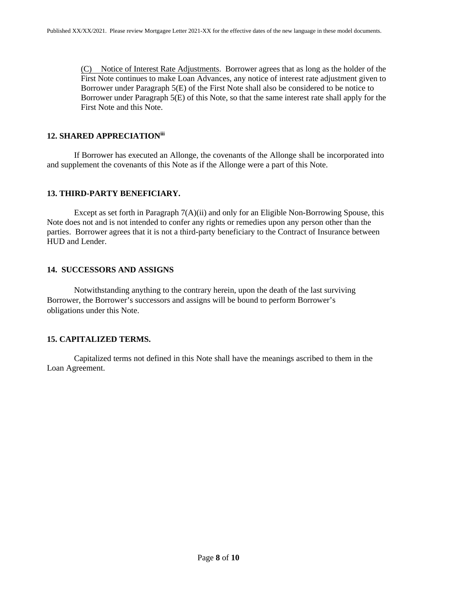(C) Notice of Interest Rate Adjustments. Borrower agrees that as long as the holder of the First Note continues to make Loan Advances, any notice of interest rate adjustment given to Borrower under Paragraph 5(E) of the First Note shall also be considered to be notice to Borrower under Paragraph 5(E) of this Note, so that the same interest rate shall apply for the First Note and this Note.

### **12. SHARED APPRECIATIONiii**

If Borrower has executed an Allonge, the covenants of the Allonge shall be incorporated into and supplement the covenants of this Note as if the Allonge were a part of this Note.

### **13. THIRD-PARTY BENEFICIARY.**

Except as set forth in Paragraph  $7(A)(ii)$  and only for an Eligible Non-Borrowing Spouse, this Note does not and is not intended to confer any rights or remedies upon any person other than the parties. Borrower agrees that it is not a third-party beneficiary to the Contract of Insurance between HUD and Lender.

## **14. SUCCESSORS AND ASSIGNS**

Notwithstanding anything to the contrary herein, upon the death of the last surviving Borrower, the Borrower's successors and assigns will be bound to perform Borrower's obligations under this Note.

## **15. CAPITALIZED TERMS.**

Capitalized terms not defined in this Note shall have the meanings ascribed to them in the Loan Agreement.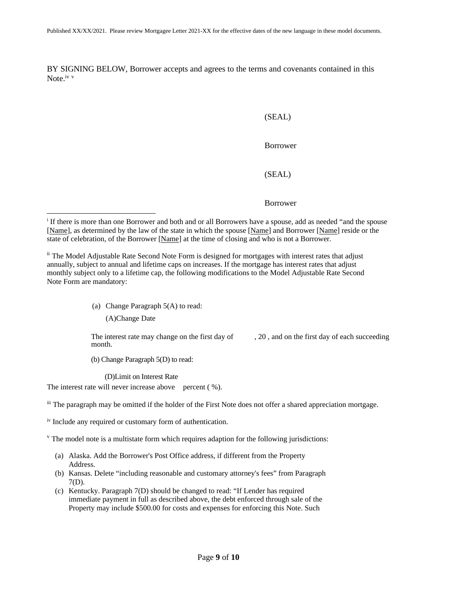BY SIGNING BELOW, Borrower accepts and agrees to the terms and covenants contained in this Note iv v

#### (SEAL)

### Borrower

### (SEAL)

#### Borrower

(a) Change Paragraph 5(A) to read:

(A)Change Date

The interest rate may change on the first day of  $, 20$ , and on the first day of each succeeding month.

(b) Change Paragraph 5(D) to read:

(D)Limit on Interest Rate

The interest rate will never increase above percent (%).

iii The paragraph may be omitted if the holder of the First Note does not offer a shared appreciation mortgage.

iv Include any required or customary form of authentication.

 $\gamma$  The model note is a multistate form which requires adaption for the following jurisdictions:

- (a) Alaska. Add the Borrower's Post Office address, if different from the Property Address.
- (b) Kansas. Delete "including reasonable and customary attorney's fees" from Paragraph 7(D).
- (c) Kentucky. Paragraph 7(D) should be changed to read: "If Lender has required immediate payment in full as described above, the debt enforced through sale of the Property may include \$500.00 for costs and expenses for enforcing this Note. Such

<sup>&</sup>lt;sup>i</sup> If there is more than one Borrower and both and or all Borrowers have a spouse, add as needed "and the spouse [Name], as determined by the law of the state in which the spouse [Name] and Borrower [Name] reside or the state of celebration, of the Borrower [Name] at the time of closing and who is not a Borrower.

ii The Model Adjustable Rate Second Note Form is designed for mortgages with interest rates that adjust annually, subject to annual and lifetime caps on increases. If the mortgage has interest rates that adjust monthly subject only to a lifetime cap, the following modifications to the Model Adjustable Rate Second Note Form are mandatory: